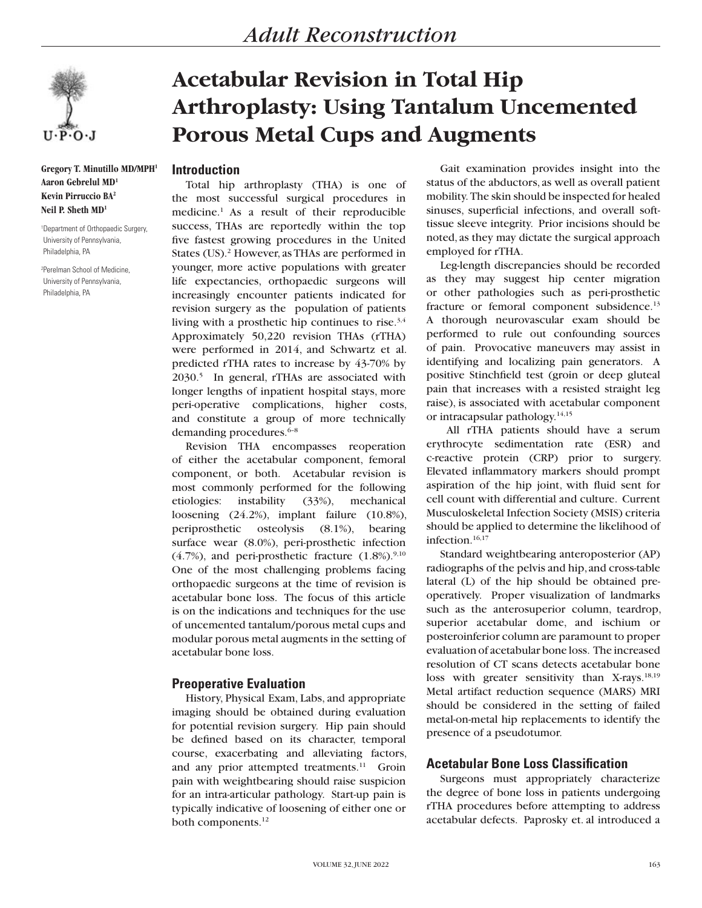

**Gregory T. Minutillo MD/MPH1 Aaron Gebrelul MD1 Kevin Pirruccio BA2 Neil P. Sheth MD1**

1 Department of Orthopaedic Surgery, University of Pennsylvania, Philadelphia, PA

2 Perelman School of Medicine, University of Pennsylvania, Philadelphia, PA

# **Acetabular Revision in Total Hip Arthroplasty: Using Tantalum Uncemented Porous Metal Cups and Augments**

## **Introduction**

Total hip arthroplasty (THA) is one of the most successful surgical procedures in medicine.1 As a result of their reproducible success, THAs are reportedly within the top five fastest growing procedures in the United States (US).<sup>2</sup> However, as THAs are performed in younger, more active populations with greater life expectancies, orthopaedic surgeons will increasingly encounter patients indicated for revision surgery as the population of patients living with a prosthetic hip continues to rise.3,4 Approximately 50,220 revision THAs (rTHA) were performed in 2014, and Schwartz et al. predicted rTHA rates to increase by 43-70% by 2030.5 In general, rTHAs are associated with longer lengths of inpatient hospital stays, more peri-operative complications, higher costs, and constitute a group of more technically demanding procedures.<sup>6-8</sup>

Revision THA encompasses reoperation of either the acetabular component, femoral component, or both. Acetabular revision is most commonly performed for the following etiologies: instability (33%), mechanical loosening (24.2%), implant failure (10.8%), periprosthetic osteolysis (8.1%), bearing surface wear (8.0%), peri-prosthetic infection  $(4.7\%)$ , and peri-prosthetic fracture  $(1.8\%)$ .<sup>9,10</sup> One of the most challenging problems facing orthopaedic surgeons at the time of revision is acetabular bone loss. The focus of this article is on the indications and techniques for the use of uncemented tantalum/porous metal cups and modular porous metal augments in the setting of acetabular bone loss.

# **Preoperative Evaluation**

History, Physical Exam, Labs, and appropriate imaging should be obtained during evaluation for potential revision surgery. Hip pain should be defined based on its character, temporal course, exacerbating and alleviating factors, and any prior attempted treatments.<sup>11</sup> Groin pain with weightbearing should raise suspicion for an intra-articular pathology. Start-up pain is typically indicative of loosening of either one or both components.<sup>12</sup>

Gait examination provides insight into the status of the abductors, as well as overall patient mobility. The skin should be inspected for healed sinuses, superficial infections, and overall softtissue sleeve integrity. Prior incisions should be noted, as they may dictate the surgical approach employed for rTHA.

Leg-length discrepancies should be recorded as they may suggest hip center migration or other pathologies such as peri-prosthetic fracture or femoral component subsidence.<sup>13</sup> A thorough neurovascular exam should be performed to rule out confounding sources of pain. Provocative maneuvers may assist in identifying and localizing pain generators. A positive Stinchfield test (groin or deep gluteal pain that increases with a resisted straight leg raise), is associated with acetabular component or intracapsular pathology.14,15

 All rTHA patients should have a serum erythrocyte sedimentation rate (ESR) and c-reactive protein (CRP) prior to surgery. Elevated inflammatory markers should prompt aspiration of the hip joint, with fluid sent for cell count with differential and culture. Current Musculoskeletal Infection Society (MSIS) criteria should be applied to determine the likelihood of infection.<sup>16,17</sup>

Standard weightbearing anteroposterior (AP) radiographs of the pelvis and hip, and cross-table lateral (L) of the hip should be obtained preoperatively. Proper visualization of landmarks such as the anterosuperior column, teardrop, superior acetabular dome, and ischium or posteroinferior column are paramount to proper evaluation of acetabular bone loss. The increased resolution of CT scans detects acetabular bone loss with greater sensitivity than X-rays.<sup>18,19</sup> Metal artifact reduction sequence (MARS) MRI should be considered in the setting of failed metal-on-metal hip replacements to identify the presence of a pseudotumor.

# **Acetabular Bone Loss Classification**

Surgeons must appropriately characterize the degree of bone loss in patients undergoing rTHA procedures before attempting to address acetabular defects. Paprosky et. al introduced a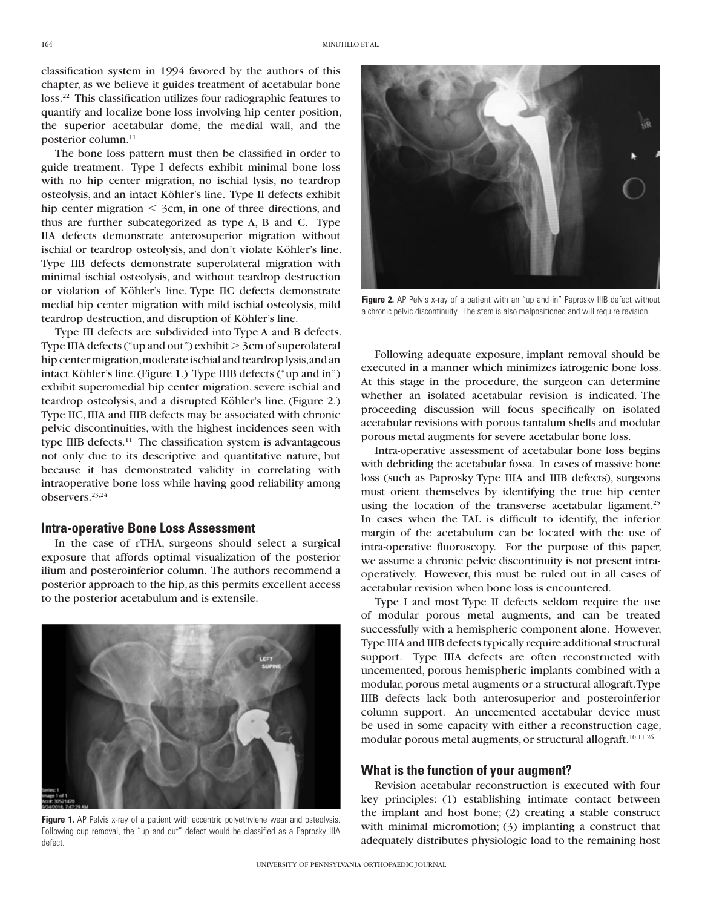classification system in 1994 favored by the authors of this chapter, as we believe it guides treatment of acetabular bone loss.22 This classification utilizes four radiographic features to quantify and localize bone loss involving hip center position, the superior acetabular dome, the medial wall, and the posterior column.<sup>11</sup>

The bone loss pattern must then be classified in order to guide treatment. Type I defects exhibit minimal bone loss with no hip center migration, no ischial lysis, no teardrop osteolysis, and an intact Köhler's line. Type II defects exhibit hip center migration  $\leq$  3cm, in one of three directions, and thus are further subcategorized as type A, B and C. Type IIA defects demonstrate anterosuperior migration without ischial or teardrop osteolysis, and don't violate Köhler's line. Type IIB defects demonstrate superolateral migration with minimal ischial osteolysis, and without teardrop destruction or violation of Köhler's line. Type IIC defects demonstrate medial hip center migration with mild ischial osteolysis, mild teardrop destruction, and disruption of Köhler's line.

Type III defects are subdivided into Type A and B defects. Type IIIA defects ("up and out") exhibit  $>$  3cm of superolateral hip center migration, moderate ischial and teardrop lysis, and an intact Köhler's line. (Figure 1.) Type IIIB defects ("up and in") exhibit superomedial hip center migration, severe ischial and teardrop osteolysis, and a disrupted Köhler's line. (Figure 2.) Type IIC, IIIA and IIIB defects may be associated with chronic pelvic discontinuities, with the highest incidences seen with type IIIB defects.<sup>11</sup> The classification system is advantageous not only due to its descriptive and quantitative nature, but because it has demonstrated validity in correlating with intraoperative bone loss while having good reliability among observers.<sup>23,24</sup>

## **Intra-operative Bone Loss Assessment**

In the case of rTHA, surgeons should select a surgical exposure that affords optimal visualization of the posterior ilium and posteroinferior column. The authors recommend a posterior approach to the hip, as this permits excellent access to the posterior acetabulum and is extensile.



Figure 1. AP Pelvis x-ray of a patient with eccentric polyethylene wear and osteolysis. Following cup removal, the "up and out" defect would be classified as a Paprosky IIIA defect.



**Figure 2.** AP Pelvis x-ray of a patient with an "up and in" Paprosky IIIB defect without a chronic pelvic discontinuity. The stem is also malpositioned and will require revision.

Following adequate exposure, implant removal should be executed in a manner which minimizes iatrogenic bone loss. At this stage in the procedure, the surgeon can determine whether an isolated acetabular revision is indicated. The proceeding discussion will focus specifically on isolated acetabular revisions with porous tantalum shells and modular porous metal augments for severe acetabular bone loss.

Intra-operative assessment of acetabular bone loss begins with debriding the acetabular fossa. In cases of massive bone loss (such as Paprosky Type IIIA and IIIB defects), surgeons must orient themselves by identifying the true hip center using the location of the transverse acetabular ligament.<sup>25</sup> In cases when the TAL is difficult to identify, the inferior margin of the acetabulum can be located with the use of intra-operative fluoroscopy. For the purpose of this paper, we assume a chronic pelvic discontinuity is not present intraoperatively. However, this must be ruled out in all cases of acetabular revision when bone loss is encountered.

Type I and most Type II defects seldom require the use of modular porous metal augments, and can be treated successfully with a hemispheric component alone. However, Type IIIA and IIIB defects typically require additional structural support. Type IIIA defects are often reconstructed with uncemented, porous hemispheric implants combined with a modular, porous metal augments or a structural allograft. Type IIIB defects lack both anterosuperior and posteroinferior column support. An uncemented acetabular device must be used in some capacity with either a reconstruction cage, modular porous metal augments, or structural allograft.<sup>10,11,26</sup>

## **What is the function of your augment?**

Revision acetabular reconstruction is executed with four key principles: (1) establishing intimate contact between the implant and host bone; (2) creating a stable construct with minimal micromotion; (3) implanting a construct that adequately distributes physiologic load to the remaining host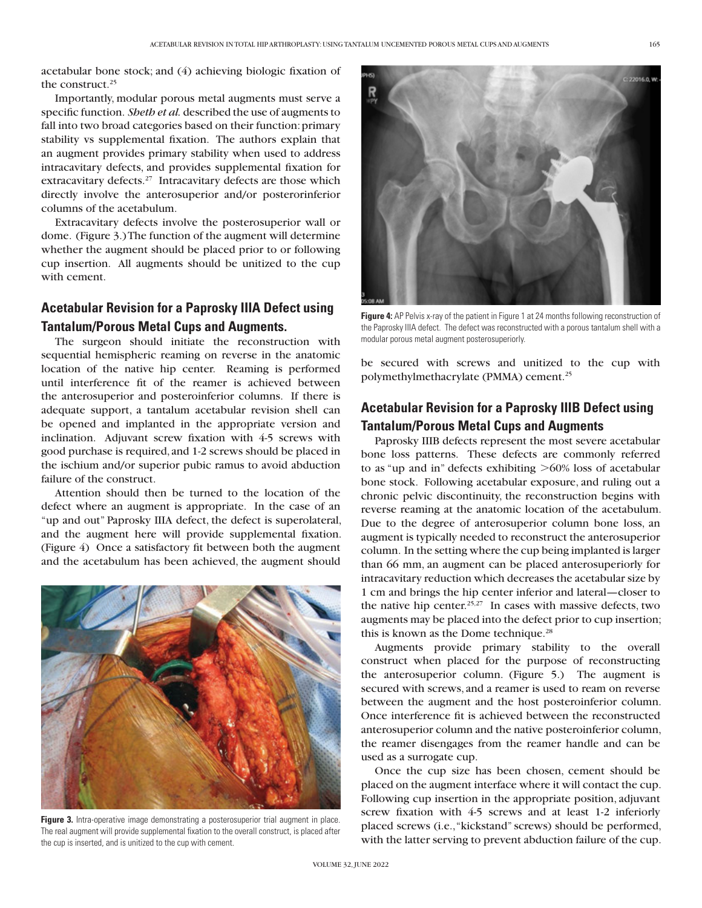acetabular bone stock; and (4) achieving biologic fixation of the construct.<sup>25</sup>

Importantly, modular porous metal augments must serve a specific function. *Sheth et al.* described the use of augments to fall into two broad categories based on their function: primary stability vs supplemental fixation. The authors explain that an augment provides primary stability when used to address intracavitary defects, and provides supplemental fixation for extracavitary defects.<sup>27</sup> Intracavitary defects are those which directly involve the anterosuperior and/or posterorinferior columns of the acetabulum.

Extracavitary defects involve the posterosuperior wall or dome. (Figure 3.) The function of the augment will determine whether the augment should be placed prior to or following cup insertion. All augments should be unitized to the cup with cement.

# **Acetabular Revision for a Paprosky IIIA Defect using Tantalum/Porous Metal Cups and Augments.**

The surgeon should initiate the reconstruction with sequential hemispheric reaming on reverse in the anatomic location of the native hip center. Reaming is performed until interference fit of the reamer is achieved between the anterosuperior and posteroinferior columns. If there is adequate support, a tantalum acetabular revision shell can be opened and implanted in the appropriate version and inclination. Adjuvant screw fixation with 4-5 screws with good purchase is required, and 1-2 screws should be placed in the ischium and/or superior pubic ramus to avoid abduction failure of the construct.

Attention should then be turned to the location of the defect where an augment is appropriate. In the case of an "up and out" Paprosky IIIA defect, the defect is superolateral, and the augment here will provide supplemental fixation. (Figure 4) Once a satisfactory fit between both the augment and the acetabulum has been achieved, the augment should



**Figure 3.** Intra-operative image demonstrating a posterosuperior trial augment in place. The real augment will provide supplemental fixation to the overall construct, is placed after the cup is inserted, and is unitized to the cup with cement.



**Figure 4:** AP Pelvis x-ray of the patient in Figure 1 at 24 months following reconstruction of the Paprosky IIIA defect. The defect was reconstructed with a porous tantalum shell with a modular porous metal augment posterosuperiorly.

be secured with screws and unitized to the cup with polymethylmethacrylate (PMMA) cement.<sup>25</sup>

# **Acetabular Revision for a Paprosky IIIB Defect using Tantalum/Porous Metal Cups and Augments**

Paprosky IIIB defects represent the most severe acetabular bone loss patterns. These defects are commonly referred to as "up and in" defects exhibiting  $>60\%$  loss of acetabular bone stock. Following acetabular exposure, and ruling out a chronic pelvic discontinuity, the reconstruction begins with reverse reaming at the anatomic location of the acetabulum. Due to the degree of anterosuperior column bone loss, an augment is typically needed to reconstruct the anterosuperior column. In the setting where the cup being implanted is larger than 66 mm, an augment can be placed anterosuperiorly for intracavitary reduction which decreases the acetabular size by 1 cm and brings the hip center inferior and lateral—closer to the native hip center.<sup>25,27</sup> In cases with massive defects, two augments may be placed into the defect prior to cup insertion; this is known as the Dome technique.<sup>28</sup>

Augments provide primary stability to the overall construct when placed for the purpose of reconstructing the anterosuperior column. (Figure 5.) The augment is secured with screws, and a reamer is used to ream on reverse between the augment and the host posteroinferior column. Once interference fit is achieved between the reconstructed anterosuperior column and the native posteroinferior column, the reamer disengages from the reamer handle and can be used as a surrogate cup.

Once the cup size has been chosen, cement should be placed on the augment interface where it will contact the cup. Following cup insertion in the appropriate position, adjuvant screw fixation with 4-5 screws and at least 1-2 inferiorly placed screws (i.e., "kickstand" screws) should be performed, with the latter serving to prevent abduction failure of the cup.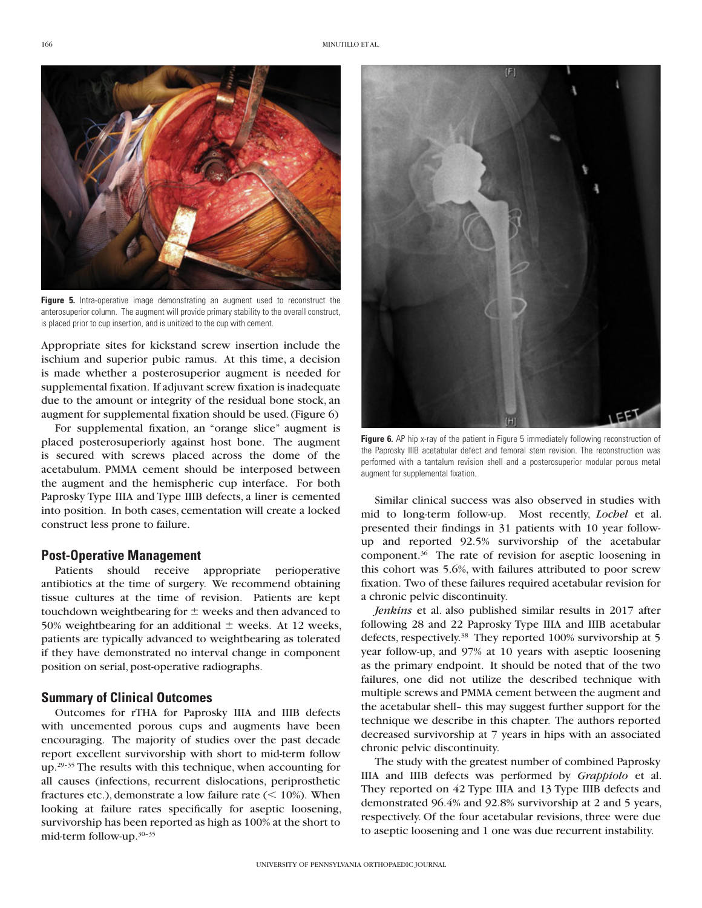

**Figure 5.** Intra-operative image demonstrating an augment used to reconstruct the anterosuperior column. The augment will provide primary stability to the overall construct, is placed prior to cup insertion, and is unitized to the cup with cement.

Appropriate sites for kickstand screw insertion include the ischium and superior pubic ramus. At this time, a decision is made whether a posterosuperior augment is needed for supplemental fixation. If adjuvant screw fixation is inadequate due to the amount or integrity of the residual bone stock, an augment for supplemental fixation should be used. (Figure 6)

For supplemental fixation, an "orange slice" augment is placed posterosuperiorly against host bone. The augment is secured with screws placed across the dome of the acetabulum. PMMA cement should be interposed between the augment and the hemispheric cup interface. For both Paprosky Type IIIA and Type IIIB defects, a liner is cemented into position. In both cases, cementation will create a locked construct less prone to failure.

## **Post-Operative Management**

Patients should receive appropriate perioperative antibiotics at the time of surgery. We recommend obtaining tissue cultures at the time of revision. Patients are kept touchdown weightbearing for  $\pm$  weeks and then advanced to 50% weightbearing for an additional  $\pm$  weeks. At 12 weeks, patients are typically advanced to weightbearing as tolerated if they have demonstrated no interval change in component position on serial, post-operative radiographs.

## **Summary of Clinical Outcomes**

Outcomes for rTHA for Paprosky IIIA and IIIB defects with uncemented porous cups and augments have been encouraging. The majority of studies over the past decade report excellent survivorship with short to mid-term follow up.29–35 The results with this technique, when accounting for all causes (infections, recurrent dislocations, periprosthetic fractures etc.), demonstrate a low failure rate  $(< 10\%)$ . When looking at failure rates specifically for aseptic loosening, survivorship has been reported as high as 100% at the short to mid-term follow-up.30–35



**Figure 6.** AP hip x-ray of the patient in Figure 5 immediately following reconstruction of the Paprosky IIIB acetabular defect and femoral stem revision. The reconstruction was performed with a tantalum revision shell and a posterosuperior modular porous metal augment for supplemental fixation.

Similar clinical success was also observed in studies with mid to long-term follow-up. Most recently, *Lochel* et al. presented their findings in 31 patients with 10 year followup and reported 92.5% survivorship of the acetabular component.36 The rate of revision for aseptic loosening in this cohort was 5.6%, with failures attributed to poor screw fixation. Two of these failures required acetabular revision for a chronic pelvic discontinuity.

*Jenkins* et al. also published similar results in 2017 after following 28 and 22 Paprosky Type IIIA and IIIB acetabular defects, respectively.38 They reported 100% survivorship at 5 year follow-up, and 97% at 10 years with aseptic loosening as the primary endpoint. It should be noted that of the two failures, one did not utilize the described technique with multiple screws and PMMA cement between the augment and the acetabular shell– this may suggest further support for the technique we describe in this chapter. The authors reported decreased survivorship at 7 years in hips with an associated chronic pelvic discontinuity.

The study with the greatest number of combined Paprosky IIIA and IIIB defects was performed by *Grappiolo* et al. They reported on 42 Type IIIA and 13 Type IIIB defects and demonstrated 96.4% and 92.8% survivorship at 2 and 5 years, respectively. Of the four acetabular revisions, three were due to aseptic loosening and 1 one was due recurrent instability.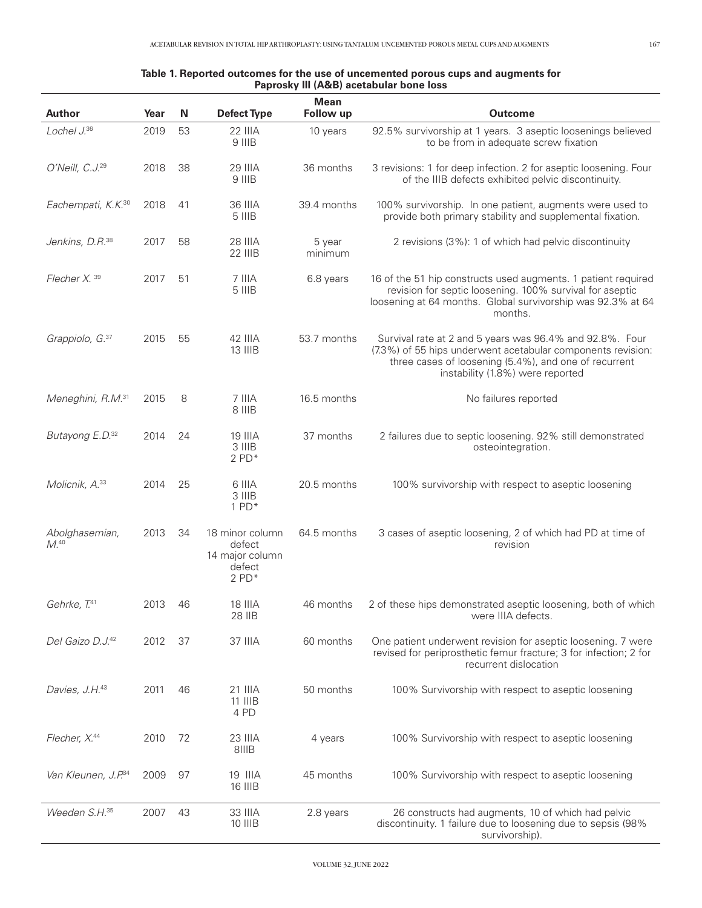#### **Table 1. Reported outcomes for the use of uncemented porous cups and augments for Paprosky III (A&B) acetabular bone loss**

| <b>Author</b>                     | Year | N  | <b>Defect Type</b>                                                   | <b>Mean</b><br>Follow up | <b>Outcome</b>                                                                                                                                                                                                       |
|-----------------------------------|------|----|----------------------------------------------------------------------|--------------------------|----------------------------------------------------------------------------------------------------------------------------------------------------------------------------------------------------------------------|
| Lochel J.36                       | 2019 | 53 | <b>22 IIIA</b><br>9 IIIB                                             | 10 years                 | 92.5% survivorship at 1 years. 3 aseptic loosenings believed<br>to be from in adequate screw fixation                                                                                                                |
| O'Neill, C.J. <sup>29</sup>       | 2018 | 38 | 29 IIIA<br>9 IIIB                                                    | 36 months                | 3 revisions: 1 for deep infection. 2 for aseptic loosening. Four<br>of the IIIB defects exhibited pelvic discontinuity.                                                                                              |
| Eachempati, K.K. <sup>30</sup>    | 2018 | 41 | 36 IIIA<br>5 IIIB                                                    | 39.4 months              | 100% survivorship. In one patient, augments were used to<br>provide both primary stability and supplemental fixation.                                                                                                |
| Jenkins, D.R. <sup>38</sup>       | 2017 | 58 | <b>28 IIIA</b><br><b>22 IIIB</b>                                     | 5 year<br>minimum        | 2 revisions (3%): 1 of which had pelvic discontinuity                                                                                                                                                                |
| Flecher $X39$                     | 2017 | 51 | 7 IIIA<br>5 IIIB                                                     | 6.8 years                | 16 of the 51 hip constructs used augments. 1 patient required<br>revision for septic loosening. 100% survival for aseptic<br>loosening at 64 months. Global survivorship was 92.3% at 64<br>months.                  |
| Grappiolo, G. <sup>37</sup>       | 2015 | 55 | 42 IIIA<br><b>13 IIIB</b>                                            | 53.7 months              | Survival rate at 2 and 5 years was 96.4% and 92.8%. Four<br>(7.3%) of 55 hips underwent acetabular components revision:<br>three cases of loosening (5.4%), and one of recurrent<br>instability (1.8%) were reported |
| Meneghini, R.M. <sup>31</sup>     | 2015 | 8  | 7 IIIA<br>8 IIIB                                                     | 16.5 months              | No failures reported                                                                                                                                                                                                 |
| Butayong E.D. <sup>32</sup>       | 2014 | 24 | 19 IIIA<br>3 IIIB<br>$2$ PD $*$                                      | 37 months                | 2 failures due to septic loosening. 92% still demonstrated<br>osteointegration.                                                                                                                                      |
| Molicnik, A.33                    | 2014 | 25 | 6 IIIA<br>3 IIIB<br>$1$ PD $*$                                       | 20.5 months              | 100% survivorship with respect to aseptic loosening                                                                                                                                                                  |
| Abolghasemian,<br>M <sup>40</sup> | 2013 | 34 | 18 minor column<br>defect<br>14 major column<br>defect<br>$2$ PD $*$ | 64.5 months              | 3 cases of aseptic loosening, 2 of which had PD at time of<br>revision                                                                                                                                               |
| Gehrke, T. <sup>41</sup>          | 2013 | 46 | 18 IIIA<br>28 IIB                                                    | 46 months                | 2 of these hips demonstrated aseptic loosening, both of which<br>were IIIA defects.                                                                                                                                  |
| Del Gaizo D.J. <sup>42</sup>      | 2012 | 37 | 37 IIIA                                                              | 60 months                | One patient underwent revision for aseptic loosening. 7 were<br>revised for periprosthetic femur fracture; 3 for infection; 2 for<br>recurrent dislocation                                                           |
| Davies, J.H. <sup>43</sup>        | 2011 | 46 | 21 IIIA<br>$11$ $IIIB$<br>4 PD                                       | 50 months                | 100% Survivorship with respect to aseptic loosening                                                                                                                                                                  |
| Flecher, X.44                     | 2010 | 72 | 23 IIIA<br>8IIIB                                                     | 4 years                  | 100% Survivorship with respect to aseptic loosening                                                                                                                                                                  |
| Van Kleunen, J.P. 34              | 2009 | 97 | 19 IIIA<br>16 IIIB                                                   | 45 months                | 100% Survivorship with respect to aseptic loosening                                                                                                                                                                  |
| Weeden S.H. <sup>35</sup>         | 2007 | 43 | 33 IIIA<br>10 IIIB                                                   | 2.8 years                | 26 constructs had augments, 10 of which had pelvic<br>discontinuity. 1 failure due to loosening due to sepsis (98%<br>survivorship).                                                                                 |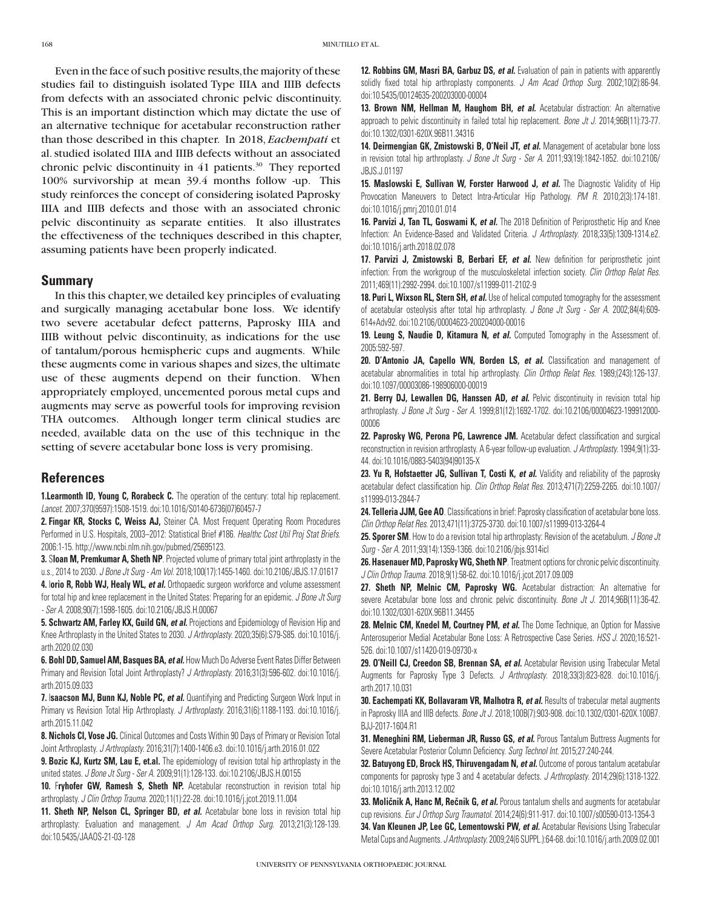Even in the face of such positive results, the majority of these studies fail to distinguish isolated Type IIIA and IIIB defects from defects with an associated chronic pelvic discontinuity. This is an important distinction which may dictate the use of an alternative technique for acetabular reconstruction rather than those described in this chapter. In 2018, *Eachempati* et al. studied isolated IIIA and IIIB defects without an associated chronic pelvic discontinuity in 41 patients.<sup>30</sup> They reported 100% survivorship at mean 39.4 months follow -up. This study reinforces the concept of considering isolated Paprosky IIIA and IIIB defects and those with an associated chronic pelvic discontinuity as separate entities. It also illustrates the effectiveness of the techniques described in this chapter, assuming patients have been properly indicated.

## **Summary**

In this this chapter, we detailed key principles of evaluating and surgically managing acetabular bone loss. We identify two severe acetabular defect patterns, Paprosky IIIA and IIIB without pelvic discontinuity, as indications for the use of tantalum/porous hemispheric cups and augments. While these augments come in various shapes and sizes, the ultimate use of these augments depend on their function. When appropriately employed, uncemented porous metal cups and augments may serve as powerful tools for improving revision THA outcomes. Although longer term clinical studies are needed, available data on the use of this technique in the setting of severe acetabular bone loss is very promising.

## **References**

**1.Learmonth ID, Young C, Rorabeck C.** The operation of the century: total hip replacement. *Lancet*. 2007;370(9597):1508-1519. doi:10.1016/S0140-6736(07)60457-7

**2. Fingar KR, Stocks C, Weiss AJ,** Steiner CA. Most Frequent Operating Room Procedures Performed in U.S. Hospitals, 2003–2012: Statistical Brief #186. *Healthc Cost Util Proj Stat Briefs*. 2006:1-15. http://www.ncbi.nlm.nih.gov/pubmed/25695123.

**3.** S**loan M, Premkumar A, Sheth NP**. Projected volume of primary total joint arthroplasty in the u.s., 2014 to 2030. *J Bone Jt Surg - Am Vol*. 2018;100(17):1455-1460. doi:10.2106/JBJS.17.01617

**4.** I**orio R, Robb WJ, Healy WL,** *et al.* Orthopaedic surgeon workforce and volume assessment for total hip and knee replacement in the United States: Preparing for an epidemic. *J Bone Jt Surg - Ser A*. 2008;90(7):1598-1605. doi:10.2106/JBJS.H.00067

**5. Schwartz AM, Farley KX, Guild GN,** *et al.* Projections and Epidemiology of Revision Hip and Knee Arthroplasty in the United States to 2030. *J Arthroplasty*. 2020;35(6):S79-S85. doi:10.1016/j. arth.2020.02.030

**6. Bohl DD, Samuel AM, Basques BA,** *et al.* How Much Do Adverse Event Rates Differ Between Primary and Revision Total Joint Arthroplasty? *J Arthroplasty*. 2016;31(3):596-602. doi:10.1016/j. arth.2015.09.033

**7.** I**saacson MJ, Bunn KJ, Noble PC,** *et al.* Quantifying and Predicting Surgeon Work Input in Primary vs Revision Total Hip Arthroplasty. *J Arthroplasty*. 2016;31(6):1188-1193. doi:10.1016/j. arth.2015.11.042

**8. Nichols CI, Vose JG.** Clinical Outcomes and Costs Within 90 Days of Primary or Revision Total Joint Arthroplasty. *J Arthroplasty*. 2016;31(7):1400-1406.e3. doi:10.1016/j.arth.2016.01.022

**9. Bozic KJ, Kurtz SM, Lau E, et.al.** The epidemiology of revision total hip arthroplasty in the united states. *J Bone Jt Surg - Ser A*. 2009;91(1):128-133. doi:10.2106/JBJS.H.00155

10. Fryhofer GW, Ramesh S, Sheth NP. Acetabular reconstruction in revision total hip arthroplasty. *J Clin Orthop Trauma*. 2020;11(1):22-28. doi:10.1016/j.jcot.2019.11.004

11. **Sheth NP, Nelson CL, Springer BD,** *et al.* Acetabular bone loss in revision total hip arthroplasty: Evaluation and management. *J Am Acad Orthop Surg*. 2013;21(3):128-139. doi:10.5435/JAAOS-21-03-128

**12. Robbins GM, Masri BA, Garbuz DS,** *et al.* Evaluation of pain in patients with apparently solidly fixed total hip arthroplasty components. *J Am Acad Orthop Surg*. 2002;10(2):86-94. doi:10.5435/00124635-200203000-00004

**13. Brown NM, Hellman M, Haughom BH,** *et al.* Acetabular distraction: An alternative approach to pelvic discontinuity in failed total hip replacement. *Bone Jt J*. 2014;96B(11):73-77. doi:10.1302/0301-620X.96B11.34316

**14. Deirmengian GK, Zmistowski B, O'Neil JT,** *et al.* Management of acetabular bone loss in revision total hip arthroplasty. *J Bone Jt Surg - Ser A*. 2011;93(19):1842-1852. doi:10.2106/ JBJS.J.01197

**15. Maslowski E, Sullivan W, Forster Harwood J,** *et al.* The Diagnostic Validity of Hip Provocation Maneuvers to Detect Intra-Articular Hip Pathology. *PM R*. 2010;2(3):174-181. doi:10.1016/j.pmrj.2010.01.014

**16. Parvizi J, Tan TL, Goswami K,** *et al.* The 2018 Definition of Periprosthetic Hip and Knee Infection: An Evidence-Based and Validated Criteria. *J Arthroplasty*. 2018;33(5):1309-1314.e2. doi:10.1016/j.arth.2018.02.078

**17. Parvizi J, Zmistowski B, Berbari EF,** *et al.* New definition for periprosthetic joint infection: From the workgroup of the musculoskeletal infection society. *Clin Orthop Relat Res*. 2011;469(11):2992-2994. doi:10.1007/s11999-011-2102-9

18. Puri L, Wixson RL, Stern SH, et al. Use of helical computed tomography for the assessment of acetabular osteolysis after total hip arthroplasty. *J Bone Jt Surg - Ser A*. 2002;84(4):609- 614+Adv92. doi:10.2106/00004623-200204000-00016

**19. Leung S, Naudie D, Kitamura N, et al.** Computed Tomography in the Assessment of. 2005:592-597.

20. D'Antonio JA, Capello WN, Borden LS, et al. Classification and management of acetabular abnormalities in total hip arthroplasty. *Clin Orthop Relat Res*. 1989;(243):126-137. doi:10.1097/00003086-198906000-00019

21. Berry DJ, Lewallen DG, Hanssen AD, et al. Pelvic discontinuity in revision total hip arthroplasty. *J Bone Jt Surg - Ser A*. 1999;81(12):1692-1702. doi:10.2106/00004623-199912000- 00006

22. Paprosky WG, Perona PG, Lawrence JM. Acetabular defect classification and surgical reconstruction in revision arthroplasty. A 6-year follow-up evaluation. *J Arthroplasty*. 1994;9(1):33- 44. doi:10.1016/0883-5403(94)90135-X

23. Yu R, Hofstaetter JG, Sullivan T, Costi K, et al. Validity and reliability of the paprosky acetabular defect classification hip. *Clin Orthop Relat Res*. 2013;471(7):2259-2265. doi:10.1007/ s11999-013-2844-7

**24. Telleria JJM, Gee AO**. Classifications in brief: Paprosky classification of acetabular bone loss. *Clin Orthop Relat Res*. 2013;471(11):3725-3730. doi:10.1007/s11999-013-3264-4

**25. Sporer SM**. How to do a revision total hip arthroplasty: Revision of the acetabulum. *J Bone Jt Surg - Ser A*. 2011;93(14):1359-1366. doi:10.2106/jbjs.9314icl

26. Hasenauer MD, Paprosky WG, Sheth NP. Treatment options for chronic pelvic discontinuity. *J Clin Orthop Trauma*. 2018;9(1):58-62. doi:10.1016/j.jcot.2017.09.009

**27. Sheth NP, Melnic CM, Paprosky WG.** Acetabular distraction: An alternative for severe Acetabular bone loss and chronic pelvic discontinuity. *Bone Jt J*. 2014;96B(11):36-42. doi:10.1302/0301-620X.96B11.34455

**28. Melnic CM, Knedel M, Courtney PM,** *et al.* The Dome Technique, an Option for Massive Anterosuperior Medial Acetabular Bone Loss: A Retrospective Case Series. *HSS J*. 2020;16:521- 526. doi:10.1007/s11420-019-09730-x

29. O'Neill CJ, Creedon SB, Brennan SA, et al. Acetabular Revision using Trabecular Metal Augments for Paprosky Type 3 Defects. *J Arthroplasty*. 2018;33(3):823-828. doi:10.1016/j. arth.2017.10.031

**30. Eachempati KK, Bollavaram VR, Malhotra R, et al.** Results of trabecular metal augments in Paprosky IIIA and IIIB defects. *Bone Jt J*. 2018;100B(7):903-908. doi:10.1302/0301-620X.100B7. BJJ-2017-1604.R1

**31. Meneghini RM, Lieberman JR, Russo GS,** *et al.* Porous Tantalum Buttress Augments for Severe Acetabular Posterior Column Deficiency. *Surg Technol Int*. 2015;27:240-244.

**32. Batuyong ED, Brock HS, Thiruvengadam N,** *et al.* Outcome of porous tantalum acetabular components for paprosky type 3 and 4 acetabular defects. *J Arthroplasty*. 2014;29(6):1318-1322. doi:10.1016/j.arth.2013.12.002

**33. Moličnik A, Hanc M, Rečnik G, et al.** Porous tantalum shells and augments for acetabular cup revisions. *Eur J Orthop Surg Traumatol*. 2014;24(6):911-917. doi:10.1007/s00590-013-1354-3 **34. Van Kleunen JP, Lee GC, Lementowski PW,** *et al.* Acetabular Revisions Using Trabecular Metal Cups and Augments. *J Arthroplasty*. 2009;24(6 SUPPL.):64-68. doi:10.1016/j.arth.2009.02.001